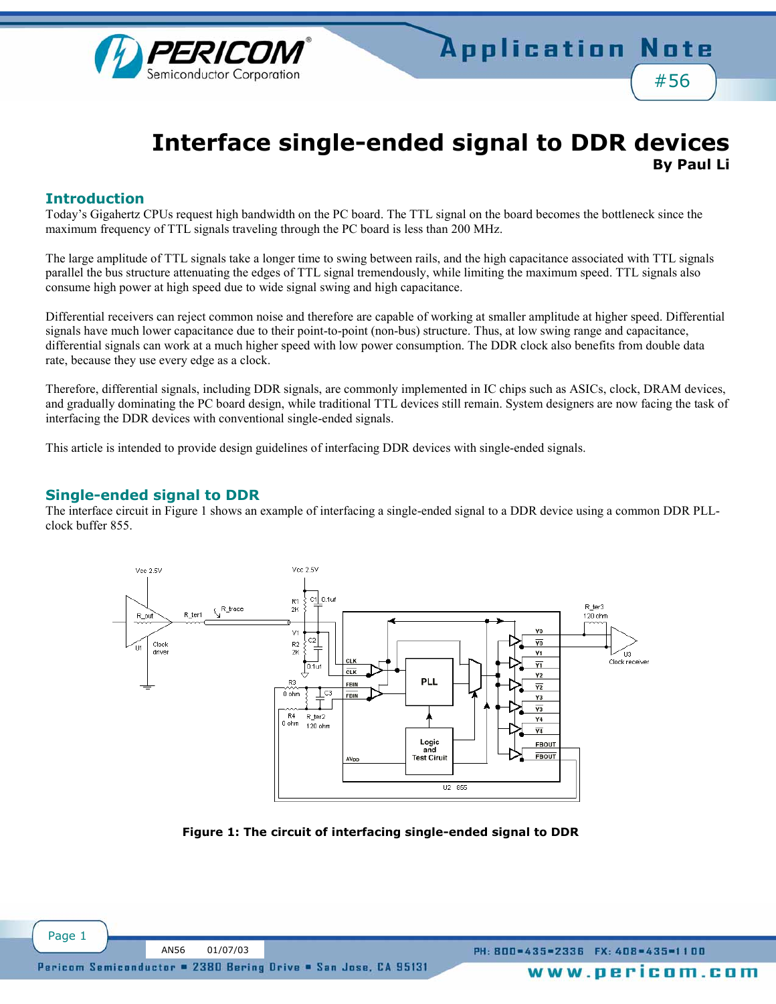

# **Interface single-ended signal to DDR devices By Paul Li**

### **Introduction**

Todayís Gigahertz CPUs request high bandwidth on the PC board. The TTL signal on the board becomes the bottleneck since the maximum frequency of TTL signals traveling through the PC board is less than 200 MHz.

The large amplitude of TTL signals take a longer time to swing between rails, and the high capacitance associated with TTL signals parallel the bus structure attenuating the edges of TTL signal tremendously, while limiting the maximum speed. TTL signals also consume high power at high speed due to wide signal swing and high capacitance.

Differential receivers can reject common noise and therefore are capable of working at smaller amplitude at higher speed. Differential signals have much lower capacitance due to their point-to-point (non-bus) structure. Thus, at low swing range and capacitance, differential signals can work at a much higher speed with low power consumption. The DDR clock also benefits from double data rate, because they use every edge as a clock.

Therefore, differential signals, including DDR signals, are commonly implemented in IC chips such as ASICs, clock, DRAM devices, and gradually dominating the PC board design, while traditional TTL devices still remain. System designers are now facing the task of interfacing the DDR devices with conventional single-ended signals.

This article is intended to provide design guidelines of interfacing DDR devices with single-ended signals.

### **Single-ended signal to DDR**

The interface circuit in Figure 1 shows an example of interfacing a single-ended signal to a DDR device using a common DDR PLLclock buffer 855.



**Figure 1: The circuit of interfacing single-ended signal to DDR**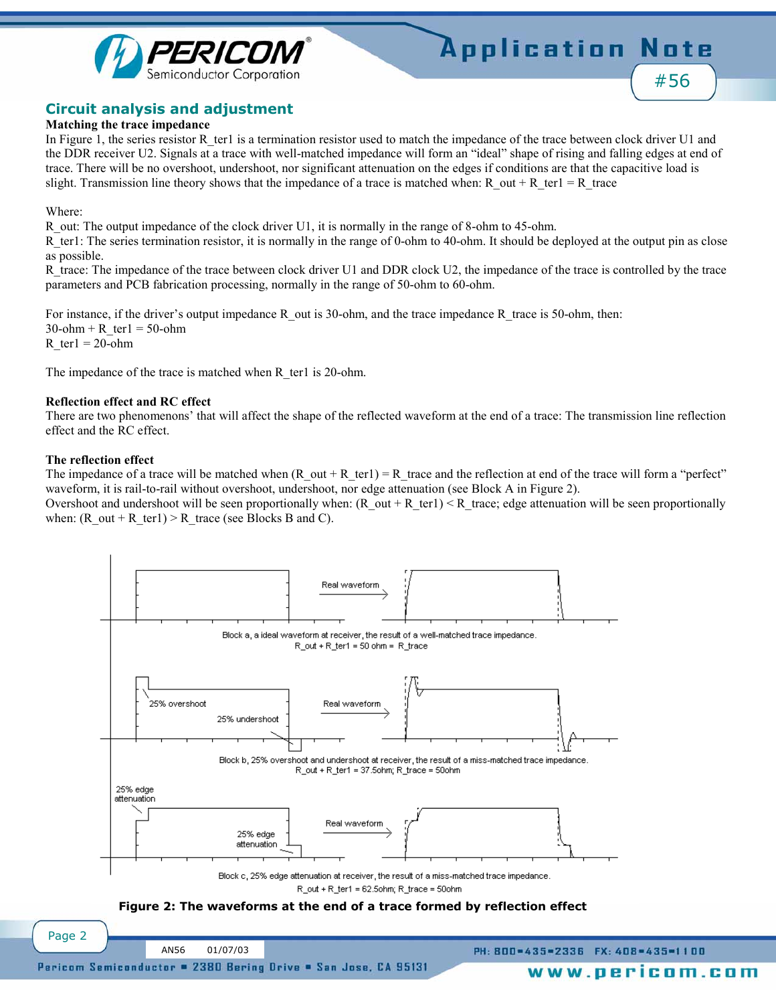



### **Circuit analysis and adjustment**

#### **Matching the trace impedance**

In Figure 1, the series resistor R\_ter1 is a termination resistor used to match the impedance of the trace between clock driver U1 and the DDR receiver U2. Signals at a trace with well-matched impedance will form an "ideal" shape of rising and falling edges at end of trace. There will be no overshoot, undershoot, nor significant attenuation on the edges if conditions are that the capacitive load is slight. Transmission line theory shows that the impedance of a trace is matched when: R\_out + R\_ter1 = R\_trace

Where:

R out: The output impedance of the clock driver U1, it is normally in the range of 8-ohm to 45-ohm.

R ter1: The series termination resistor, it is normally in the range of 0-ohm to 40-ohm. It should be deployed at the output pin as close as possible.

R trace: The impedance of the trace between clock driver U1 and DDR clock U2, the impedance of the trace is controlled by the trace parameters and PCB fabrication processing, normally in the range of 50-ohm to 60-ohm.

For instance, if the driver's output impedance R\_out is 30-ohm, and the trace impedance R\_trace is 50-ohm, then:  $30$ -ohm + R\_ter1 = 50-ohm R ter $1 = 20$ -ohm

The impedance of the trace is matched when R\_ter1 is 20-ohm.

#### **Reflection effect and RC effect**

There are two phenomenons' that will affect the shape of the reflected waveform at the end of a trace: The transmission line reflection effect and the RC effect.

#### **The reflection effect**

The impedance of a trace will be matched when  $(R_{out} + R_{ter1}) = R_{tr}$  trace and the reflection at end of the trace will form a "perfect" waveform, it is rail-to-rail without overshoot, undershoot, nor edge attenuation (see Block A in Figure 2).

Overshoot and undershoot will be seen proportionally when:  $(R \text{ out } + R \text{ terl}) < R \text{ trace}$ ; edge attenuation will be seen proportionally when: (R\_out + R\_ter1) > R\_trace (see Blocks B and C).



**Figure 2: The waveforms at the end of a trace formed by reflection effect**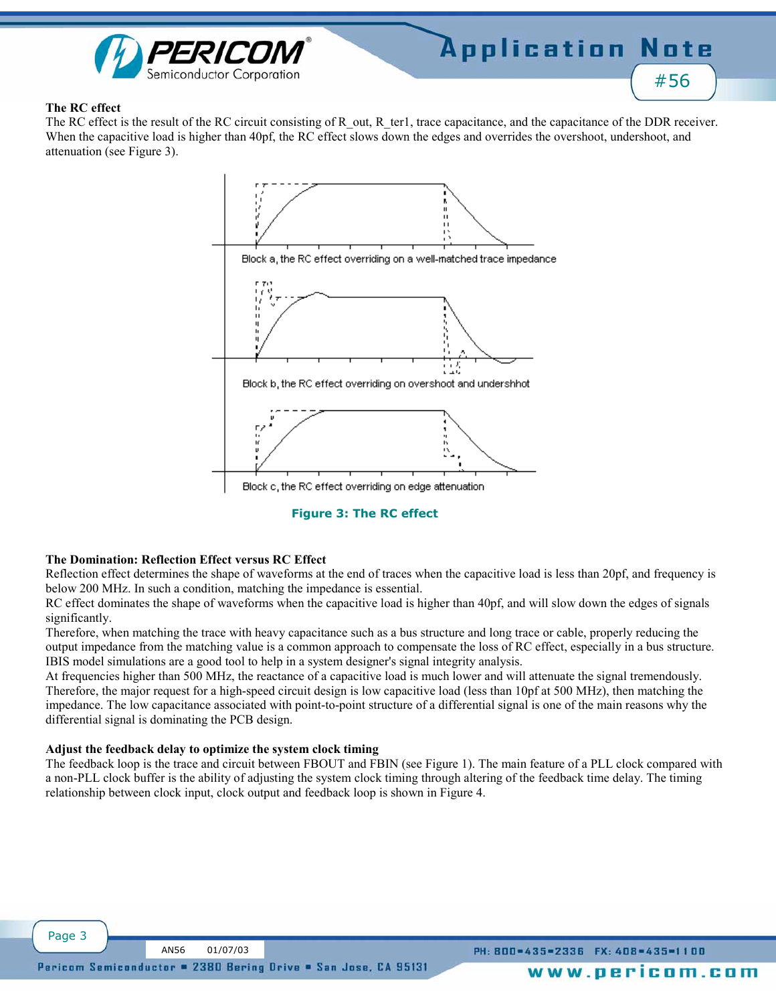

#### **The RC effect**

The RC effect is the result of the RC circuit consisting of R\_out, R\_ter1, trace capacitance, and the capacitance of the DDR receiver. When the capacitive load is higher than 40pf, the RC effect slows down the edges and overrides the overshoot, undershoot, and attenuation (see Figure 3).





#### **The Domination: Reflection Effect versus RC Effect**

Reflection effect determines the shape of waveforms at the end of traces when the capacitive load is less than 20pf, and frequency is below 200 MHz. In such a condition, matching the impedance is essential.

RC effect dominates the shape of waveforms when the capacitive load is higher than 40pf, and will slow down the edges of signals significantly.

Therefore, when matching the trace with heavy capacitance such as a bus structure and long trace or cable, properly reducing the output impedance from the matching value is a common approach to compensate the loss of RC effect, especially in a bus structure. IBIS model simulations are a good tool to help in a system designer's signal integrity analysis.

At frequencies higher than 500 MHz, the reactance of a capacitive load is much lower and will attenuate the signal tremendously. Therefore, the major request for a high-speed circuit design is low capacitive load (less than 10pf at 500 MHz), then matching the impedance. The low capacitance associated with point-to-point structure of a differential signal is one of the main reasons why the differential signal is dominating the PCB design.

#### **Adjust the feedback delay to optimize the system clock timing**

The feedback loop is the trace and circuit between FBOUT and FBIN (see Figure 1). The main feature of a PLL clock compared with a non-PLL clock buffer is the ability of adjusting the system clock timing through altering of the feedback time delay. The timing relationship between clock input, clock output and feedback loop is shown in Figure 4.

PH: 800=435=2336 FX: 408=435=1100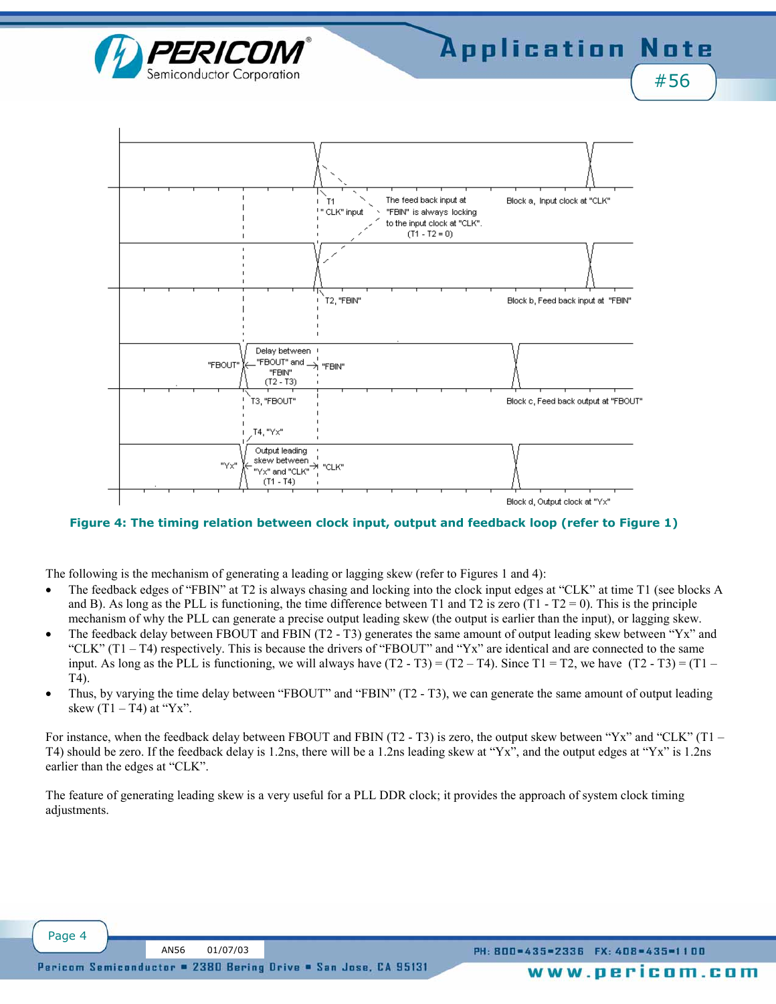



**Figure 4: The timing relation between clock input, output and feedback loop (refer to Figure 1)**

The following is the mechanism of generating a leading or lagging skew (refer to Figures 1 and 4):

- The feedback edges of "FBIN" at T2 is always chasing and locking into the clock input edges at "CLK" at time T1 (see blocks A and B). As long as the PLL is functioning, the time difference between T1 and T2 is zero  $(T1 - T2 = 0)$ . This is the principle mechanism of why the PLL can generate a precise output leading skew (the output is earlier than the input), or lagging skew.
- The feedback delay between FBOUT and FBIN (T2 T3) generates the same amount of output leading skew between  $YX$ <sup>n</sup> and "CLK"  $(T1 - T4)$  respectively. This is because the drivers of "FBOUT" and "Yx" are identical and are connected to the same input. As long as the PLL is functioning, we will always have  $(T2 - T3) = (T2 - T4)$ . Since T1 = T2, we have  $(T2 - T3) = (T1 - T2)$ T4).
- Thus, by varying the time delay between "FBOUT" and "FBIN" (T2 T3), we can generate the same amount of output leading skew  $(T1 - T4)$  at "Yx".

For instance, when the feedback delay between FBOUT and FBIN (T2 - T3) is zero, the output skew between "Yx" and "CLK" (T1  $-$ T4) should be zero. If the feedback delay is 1.2ns, there will be a 1.2ns leading skew at "Yx", and the output edges at "Yx" is 1.2ns earlier than the edges at "CLK".

The feature of generating leading skew is a very useful for a PLL DDR clock; it provides the approach of system clock timing adjustments.

Page 4

PH: 800=435=2336 FX: 408=435=1100

www.pericom.com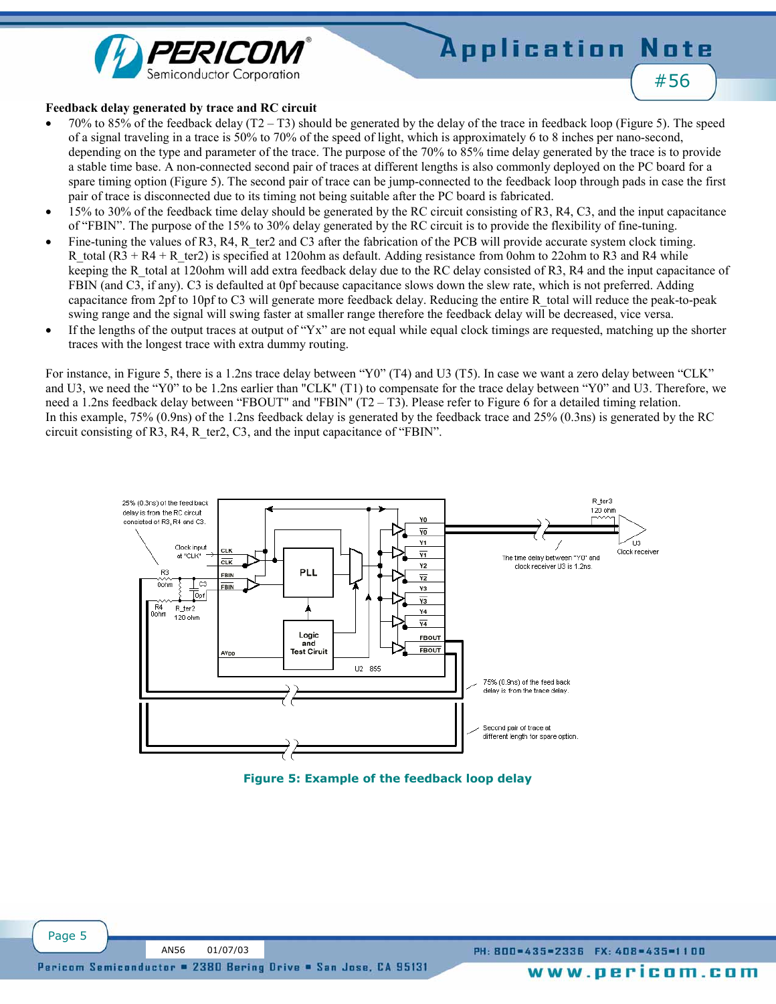



#### **Feedback delay generated by trace and RC circuit**

- 70% to 85% of the feedback delay  $(T2 T3)$  should be generated by the delay of the trace in feedback loop (Figure 5). The speed of a signal traveling in a trace is 50% to 70% of the speed of light, which is approximately 6 to 8 inches per nano-second, depending on the type and parameter of the trace. The purpose of the 70% to 85% time delay generated by the trace is to provide a stable time base. A non-connected second pair of traces at different lengths is also commonly deployed on the PC board for a spare timing option (Figure 5). The second pair of trace can be jump-connected to the feedback loop through pads in case the first pair of trace is disconnected due to its timing not being suitable after the PC board is fabricated.
- 15% to 30% of the feedback time delay should be generated by the RC circuit consisting of R3, R4, C3, and the input capacitance of "FBIN". The purpose of the 15% to 30% delay generated by the RC circuit is to provide the flexibility of fine-tuning.
- Fine-tuning the values of R3, R4, R ter2 and C3 after the fabrication of the PCB will provide accurate system clock timing. R\_total (R3 + R4 + R\_ter2) is specified at 120ohm as default. Adding resistance from 0ohm to 22ohm to R3 and R4 while keeping the R\_total at 120ohm will add extra feedback delay due to the RC delay consisted of R3, R4 and the input capacitance of FBIN (and C3, if any). C3 is defaulted at 0pf because capacitance slows down the slew rate, which is not preferred. Adding capacitance from 2pf to 10pf to C3 will generate more feedback delay. Reducing the entire R\_total will reduce the peak-to-peak swing range and the signal will swing faster at smaller range therefore the feedback delay will be decreased, vice versa.
- If the lengths of the output traces at output of " $Yx$ " are not equal while equal clock timings are requested, matching up the shorter traces with the longest trace with extra dummy routing.

For instance, in Figure 5, there is a 1.2ns trace delay between "Y0" (T4) and U3 (T5). In case we want a zero delay between "CLK" and U3, we need the "Y0" to be 1.2ns earlier than "CLK" (T1) to compensate for the trace delay between "Y0" and U3. Therefore, we need a 1.2ns feedback delay between "FBOUT" and "FBIN" (T2  $-$  T3). Please refer to Figure 6 for a detailed timing relation. In this example, 75% (0.9ns) of the 1.2ns feedback delay is generated by the feedback trace and 25% (0.3ns) is generated by the RC circuit consisting of R3, R4, R ter2, C3, and the input capacitance of "FBIN".



**Figure 5: Example of the feedback loop delay**

Page 5

www.pericom.com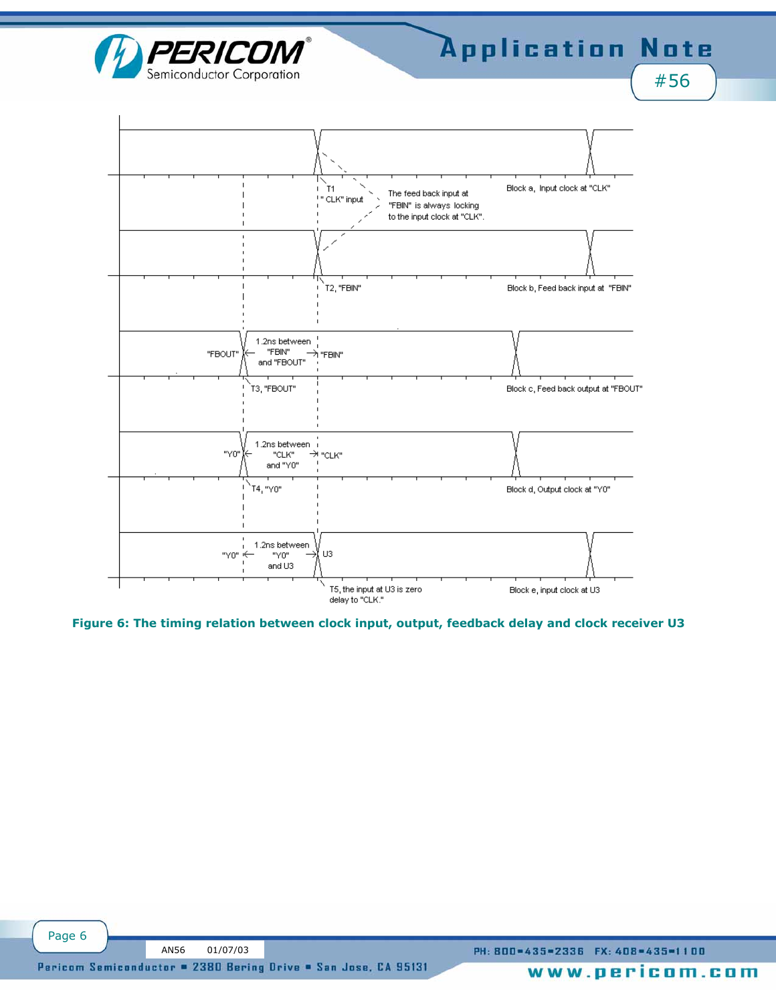

#56



**Figure 6: The timing relation between clock input, output, feedback delay and clock receiver U3**

PH: 800=435=2336 FX: 408=435=1100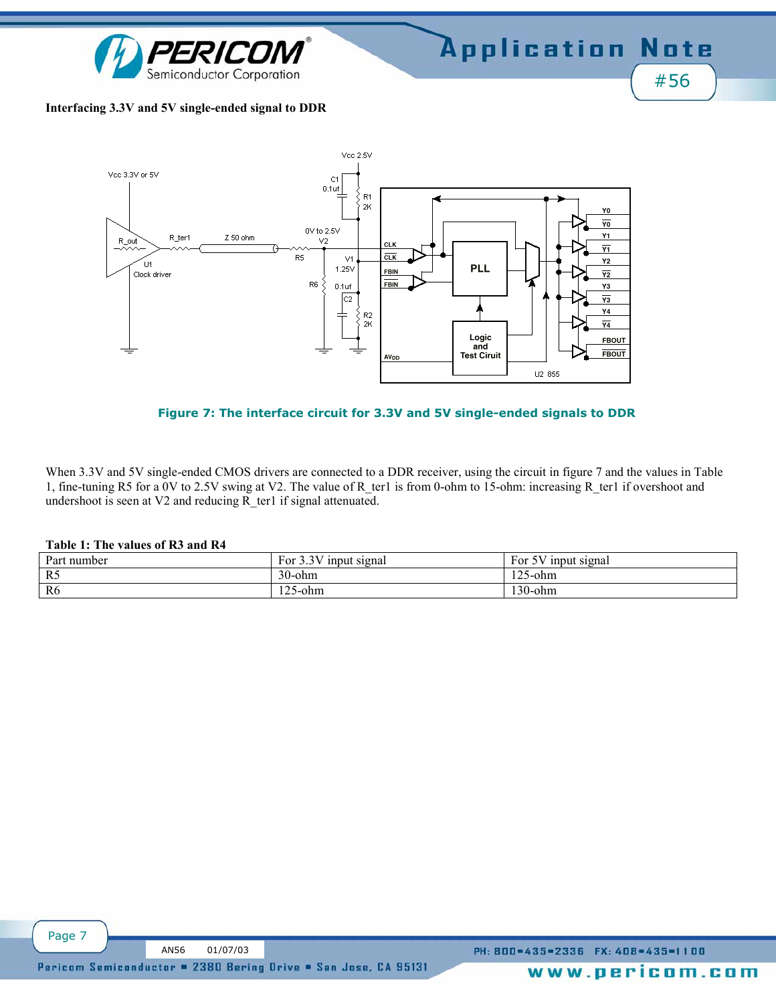

#### **Interfacing 3.3V and 5V single-ended signal to DDR**



#### **Figure 7: The interface circuit for 3.3V and 5V single-ended signals to DDR**

When 3.3V and 5V single-ended CMOS drivers are connected to a DDR receiver, using the circuit in figure 7 and the values in Table 1, fine-tuning R5 for a 0V to 2.5V swing at V2. The value of R\_ter1 is from 0-ohm to 15-ohm: increasing R\_ter1 if overshoot and undershoot is seen at V2 and reducing R\_ter1 if signal attenuated.

#### **Table 1: The values of R3 and R4**

| Part number    | 257:<br>$\sim$<br>For<br>input signal<br>ر . ب | 5V<br>Ð<br>input signal<br>For<br>$\cdot$ |
|----------------|------------------------------------------------|-------------------------------------------|
| R5             | $30$ -ohm                                      | 1つぐ<br>$125$ -ohm                         |
| R <sub>6</sub> | $125$ -ohm                                     | 130-ohm                                   |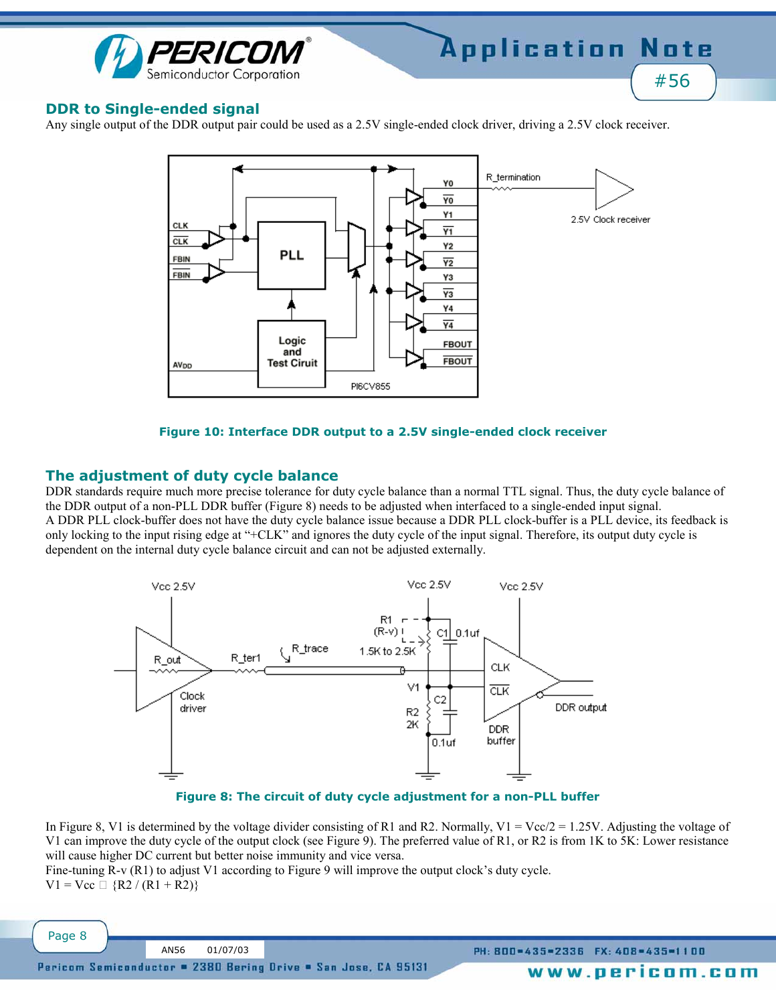

# **DDR to Single-ended signal**

Any single output of the DDR output pair could be used as a 2.5V single-ended clock driver, driving a 2.5V clock receiver.



### **Figure 10: Interface DDR output to a 2.5V single-ended clock receiver**

# **The adjustment of duty cycle balance**

Page 8

DDR standards require much more precise tolerance for duty cycle balance than a normal TTL signal. Thus, the duty cycle balance of the DDR output of a non-PLL DDR buffer (Figure 8) needs to be adjusted when interfaced to a single-ended input signal. A DDR PLL clock-buffer does not have the duty cycle balance issue because a DDR PLL clock-buffer is a PLL device, its feedback is only locking to the input rising edge at "+CLK" and ignores the duty cycle of the input signal. Therefore, its output duty cycle is dependent on the internal duty cycle balance circuit and can not be adjusted externally.



**Figure 8: The circuit of duty cycle adjustment for a non-PLL buffer**

In Figure 8, V1 is determined by the voltage divider consisting of R1 and R2. Normally, V1 = Vcc/2 = 1.25V. Adjusting the voltage of V1 can improve the duty cycle of the output clock (see Figure 9). The preferred value of R1, or R2 is from 1K to 5K: Lower resistance will cause higher DC current but better noise immunity and vice versa.

Fine-tuning  $R-v(R1)$  to adjust V1 according to Figure 9 will improve the output clock's duty cycle.  $V1 = Vcc$  {R2 / (R1 + R2)}